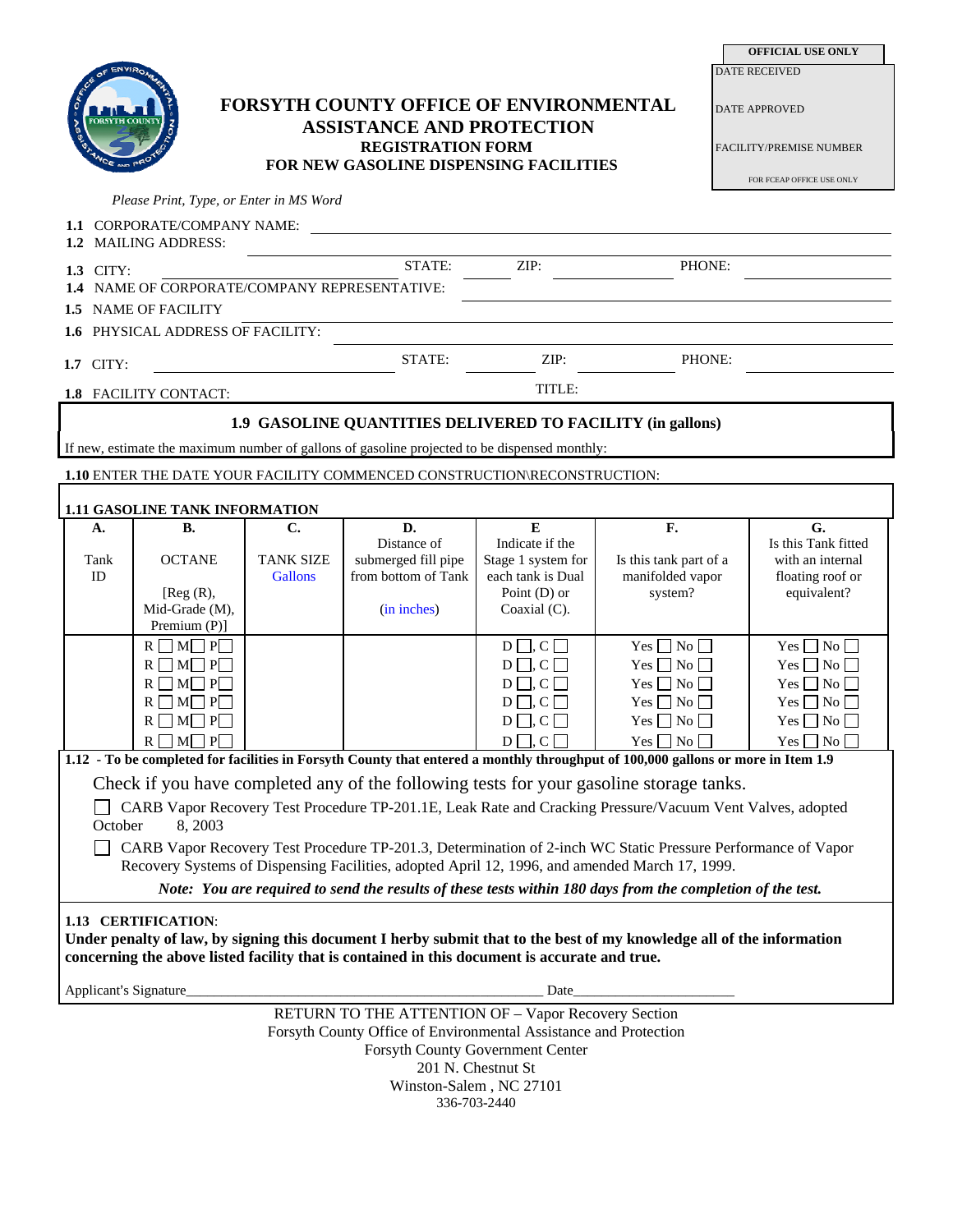| OF ENVIRO                                                                                                                                                                                                      |                                                                                                                  |                                                                                                                                                  |                                                                                                                                  |                                                  |                                              | <b>DATE RECEIVED</b>                                                                |  |
|----------------------------------------------------------------------------------------------------------------------------------------------------------------------------------------------------------------|------------------------------------------------------------------------------------------------------------------|--------------------------------------------------------------------------------------------------------------------------------------------------|----------------------------------------------------------------------------------------------------------------------------------|--------------------------------------------------|----------------------------------------------|-------------------------------------------------------------------------------------|--|
| <b>FORSYTH COUNTY</b>                                                                                                                                                                                          |                                                                                                                  | FORSYTH COUNTY OFFICE OF ENVIRONMENTAL<br><b>ASSISTANCE AND PROTECTION</b><br><b>REGISTRATION FORM</b><br>FOR NEW GASOLINE DISPENSING FACILITIES |                                                                                                                                  |                                                  |                                              | <b>DATE APPROVED</b><br><b>FACILITY/PREMISE NUMBER</b><br>FOR FCEAP OFFICE USE ONLY |  |
|                                                                                                                                                                                                                | Please Print, Type, or Enter in MS Word                                                                          |                                                                                                                                                  |                                                                                                                                  |                                                  |                                              |                                                                                     |  |
| 1.1 CORPORATE/COMPANY NAME:                                                                                                                                                                                    |                                                                                                                  |                                                                                                                                                  |                                                                                                                                  |                                                  |                                              |                                                                                     |  |
|                                                                                                                                                                                                                | 1.2 MAILING ADDRESS:                                                                                             |                                                                                                                                                  |                                                                                                                                  |                                                  |                                              |                                                                                     |  |
| 1.3 CITY:                                                                                                                                                                                                      |                                                                                                                  |                                                                                                                                                  | STATE:                                                                                                                           | ZIP:                                             | PHONE:                                       |                                                                                     |  |
| 1.4 NAME OF CORPORATE/COMPANY REPRESENTATIVE:                                                                                                                                                                  |                                                                                                                  |                                                                                                                                                  |                                                                                                                                  |                                                  |                                              |                                                                                     |  |
| 1.5 NAME OF FACILITY                                                                                                                                                                                           |                                                                                                                  |                                                                                                                                                  |                                                                                                                                  |                                                  |                                              |                                                                                     |  |
| 1.6 PHYSICAL ADDRESS OF FACILITY:                                                                                                                                                                              |                                                                                                                  |                                                                                                                                                  |                                                                                                                                  |                                                  |                                              |                                                                                     |  |
| 1.7 CITY:                                                                                                                                                                                                      |                                                                                                                  |                                                                                                                                                  | STATE:                                                                                                                           | ZIP:                                             | PHONE:                                       |                                                                                     |  |
|                                                                                                                                                                                                                | 1.8 FACILITY CONTACT:                                                                                            |                                                                                                                                                  |                                                                                                                                  | TITLE:                                           |                                              |                                                                                     |  |
|                                                                                                                                                                                                                |                                                                                                                  |                                                                                                                                                  |                                                                                                                                  |                                                  |                                              |                                                                                     |  |
| 1.9 GASOLINE QUANTITIES DELIVERED TO FACILITY (in gallons)<br>If new, estimate the maximum number of gallons of gasoline projected to be dispensed monthly:                                                    |                                                                                                                  |                                                                                                                                                  |                                                                                                                                  |                                                  |                                              |                                                                                     |  |
| 1.10 ENTER THE DATE YOUR FACILITY COMMENCED CONSTRUCTION\RECONSTRUCTION:                                                                                                                                       |                                                                                                                  |                                                                                                                                                  |                                                                                                                                  |                                                  |                                              |                                                                                     |  |
|                                                                                                                                                                                                                |                                                                                                                  |                                                                                                                                                  |                                                                                                                                  |                                                  |                                              |                                                                                     |  |
| A.                                                                                                                                                                                                             | <b>1.11 GASOLINE TANK INFORMATION</b><br><b>B.</b>                                                               | C.                                                                                                                                               | D.                                                                                                                               | $\overline{E}$                                   | F.                                           | $\overline{G}$ .                                                                    |  |
|                                                                                                                                                                                                                |                                                                                                                  |                                                                                                                                                  | Distance of                                                                                                                      | Indicate if the                                  |                                              | Is this Tank fitted                                                                 |  |
| Tank                                                                                                                                                                                                           | <b>OCTANE</b>                                                                                                    | <b>TANK SIZE</b>                                                                                                                                 | submerged fill pipe                                                                                                              | Stage 1 system for                               | Is this tank part of a                       | with an internal                                                                    |  |
| ID                                                                                                                                                                                                             | [Reg(R),                                                                                                         | <b>Gallons</b>                                                                                                                                   | from bottom of Tank                                                                                                              | each tank is Dual<br>Point $(D)$ or              | manifolded vapor<br>system?                  | floating roof or<br>equivalent?                                                     |  |
|                                                                                                                                                                                                                | Mid-Grade (M),                                                                                                   |                                                                                                                                                  | (in inches)                                                                                                                      | Coaxial $(C)$ .                                  |                                              |                                                                                     |  |
|                                                                                                                                                                                                                | Premium (P)]                                                                                                     |                                                                                                                                                  |                                                                                                                                  |                                                  |                                              |                                                                                     |  |
|                                                                                                                                                                                                                | $\mathbf{R}\ \Box\ \mathbf{M}\ \Box\ \mathbf{P}\ \Box$<br>$\mathbf{R}\ \Box\ \mathbf{M}\ \Box\ \mathbf{P}\ \Box$ |                                                                                                                                                  |                                                                                                                                  | $D \square, C \square$<br>$D \square, C \square$ | Yes $\Box$ No $\Box$<br>Yes $\Box$ No $\Box$ | Yes $\Box$ No $\Box$<br>Yes $\Box$ No $\Box$                                        |  |
|                                                                                                                                                                                                                | $R \square M \square P \square$                                                                                  |                                                                                                                                                  |                                                                                                                                  | $D \square, C \square$                           | Yes $\Box$ No $\Box$                         | Yes $\Box$ No $\Box$                                                                |  |
|                                                                                                                                                                                                                | $R \square M \square P \square$                                                                                  |                                                                                                                                                  |                                                                                                                                  | $D \square, C \square$                           | Yes $\Box$ No $\Box$                         | Yes $\Box$ No $\Box$                                                                |  |
|                                                                                                                                                                                                                | $R \square M \square P \square$                                                                                  |                                                                                                                                                  |                                                                                                                                  | $D \square, C \square$                           | Yes $\Box$ No $\Box$                         | Yes $\Box$ No $\Box$                                                                |  |
|                                                                                                                                                                                                                | $R \square M \square P$                                                                                          |                                                                                                                                                  |                                                                                                                                  | $D \square, C \square$                           | $Yes \Box No \Box$                           | $Yes \Box No \Box$                                                                  |  |
|                                                                                                                                                                                                                |                                                                                                                  |                                                                                                                                                  | 1.12 - To be completed for facilities in Forsyth County that entered a monthly throughput of 100,000 gallons or more in Item 1.9 |                                                  |                                              |                                                                                     |  |
| Check if you have completed any of the following tests for your gasoline storage tanks.                                                                                                                        |                                                                                                                  |                                                                                                                                                  |                                                                                                                                  |                                                  |                                              |                                                                                     |  |
| CARB Vapor Recovery Test Procedure TP-201.1E, Leak Rate and Cracking Pressure/Vacuum Vent Valves, adopted                                                                                                      |                                                                                                                  |                                                                                                                                                  |                                                                                                                                  |                                                  |                                              |                                                                                     |  |
| October<br>8,2003                                                                                                                                                                                              |                                                                                                                  |                                                                                                                                                  |                                                                                                                                  |                                                  |                                              |                                                                                     |  |
| CARB Vapor Recovery Test Procedure TP-201.3, Determination of 2-inch WC Static Pressure Performance of Vapor<br>Recovery Systems of Dispensing Facilities, adopted April 12, 1996, and amended March 17, 1999. |                                                                                                                  |                                                                                                                                                  |                                                                                                                                  |                                                  |                                              |                                                                                     |  |
| Note: You are required to send the results of these tests within 180 days from the completion of the test.                                                                                                     |                                                                                                                  |                                                                                                                                                  |                                                                                                                                  |                                                  |                                              |                                                                                     |  |
|                                                                                                                                                                                                                | 1.13 CERTIFICATION:                                                                                              |                                                                                                                                                  |                                                                                                                                  |                                                  |                                              |                                                                                     |  |
|                                                                                                                                                                                                                |                                                                                                                  |                                                                                                                                                  | Under penalty of law, by signing this document I herby submit that to the best of my knowledge all of the information            |                                                  |                                              |                                                                                     |  |
|                                                                                                                                                                                                                |                                                                                                                  |                                                                                                                                                  | concerning the above listed facility that is contained in this document is accurate and true.                                    |                                                  |                                              |                                                                                     |  |
| Applicant's Signature_<br>Date                                                                                                                                                                                 |                                                                                                                  |                                                                                                                                                  |                                                                                                                                  |                                                  |                                              |                                                                                     |  |
|                                                                                                                                                                                                                |                                                                                                                  |                                                                                                                                                  |                                                                                                                                  |                                                  |                                              |                                                                                     |  |
| RETURN TO THE ATTENTION OF - Vapor Recovery Section<br>Forsyth County Office of Environmental Assistance and Protection                                                                                        |                                                                                                                  |                                                                                                                                                  |                                                                                                                                  |                                                  |                                              |                                                                                     |  |
| Forsyth County Government Center                                                                                                                                                                               |                                                                                                                  |                                                                                                                                                  |                                                                                                                                  |                                                  |                                              |                                                                                     |  |
| 201 N. Chestnut St                                                                                                                                                                                             |                                                                                                                  |                                                                                                                                                  |                                                                                                                                  |                                                  |                                              |                                                                                     |  |
| Winston-Salem, NC 27101<br>336-703-2440                                                                                                                                                                        |                                                                                                                  |                                                                                                                                                  |                                                                                                                                  |                                                  |                                              |                                                                                     |  |
|                                                                                                                                                                                                                |                                                                                                                  |                                                                                                                                                  |                                                                                                                                  |                                                  |                                              |                                                                                     |  |

**OFFICIAL USE ONLY**